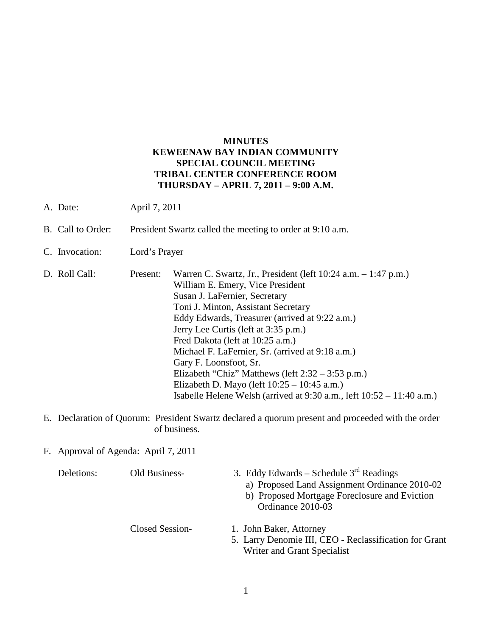## **MINUTES KEWEENAW BAY INDIAN COMMUNITY SPECIAL COUNCIL MEETING TRIBAL CENTER CONFERENCE ROOM THURSDAY – APRIL 7, 2011 – 9:00 A.M.**

- A. Date: April 7, 2011
- B. Call to Order: President Swartz called the meeting to order at 9:10 a.m.
- C. Invocation: Lord's Prayer
- D. Roll Call: Present: Warren C. Swartz, Jr., President (left 10:24 a.m. 1:47 p.m.) William E. Emery, Vice President Susan J. LaFernier, Secretary Toni J. Minton, Assistant Secretary Eddy Edwards, Treasurer (arrived at 9:22 a.m.) Jerry Lee Curtis (left at 3:35 p.m.) Fred Dakota (left at 10:25 a.m.) Michael F. LaFernier, Sr. (arrived at 9:18 a.m.) Gary F. Loonsfoot, Sr. Elizabeth "Chiz" Matthews (left 2:32 – 3:53 p.m.) Elizabeth D. Mayo (left 10:25 – 10:45 a.m.) Isabelle Helene Welsh (arrived at 9:30 a.m., left 10:52 – 11:40 a.m.)
- E. Declaration of Quorum: President Swartz declared a quorum present and proceeded with the order of business.
- F. Approval of Agenda: April 7, 2011

| Deletions: | Old Business-   | 3. Eddy Edwards – Schedule $3rd$ Readings<br>a) Proposed Land Assignment Ordinance 2010-02<br>b) Proposed Mortgage Foreclosure and Eviction<br>Ordinance 2010-03 |
|------------|-----------------|------------------------------------------------------------------------------------------------------------------------------------------------------------------|
|            | Closed Session- | 1. John Baker, Attorney                                                                                                                                          |
|            |                 | 5. Larry Denomie III, CEO - Reclassification for Grant                                                                                                           |
|            |                 | Writer and Grant Specialist                                                                                                                                      |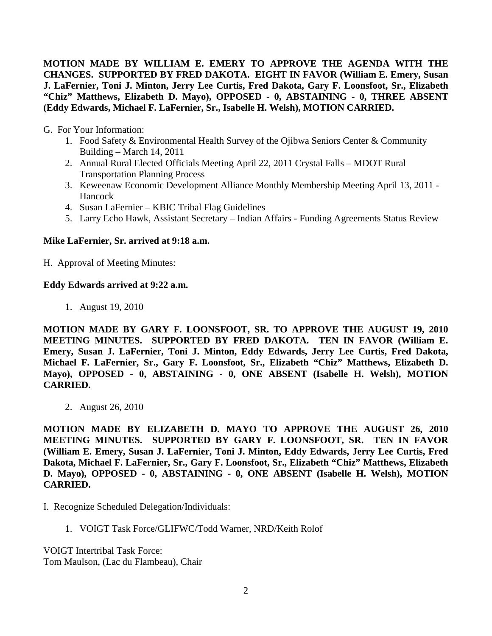**MOTION MADE BY WILLIAM E. EMERY TO APPROVE THE AGENDA WITH THE CHANGES. SUPPORTED BY FRED DAKOTA. EIGHT IN FAVOR (William E. Emery, Susan J. LaFernier, Toni J. Minton, Jerry Lee Curtis, Fred Dakota, Gary F. Loonsfoot, Sr., Elizabeth "Chiz" Matthews, Elizabeth D. Mayo), OPPOSED - 0, ABSTAINING - 0, THREE ABSENT (Eddy Edwards, Michael F. LaFernier, Sr., Isabelle H. Welsh), MOTION CARRIED.**

G. For Your Information:

- 1. Food Safety & Environmental Health Survey of the Ojibwa Seniors Center & Community Building – March 14, 2011
- 2. Annual Rural Elected Officials Meeting April 22, 2011 Crystal Falls MDOT Rural Transportation Planning Process
- 3. Keweenaw Economic Development Alliance Monthly Membership Meeting April 13, 2011 Hancock
- 4. Susan LaFernier KBIC Tribal Flag Guidelines
- 5. Larry Echo Hawk, Assistant Secretary Indian Affairs Funding Agreements Status Review

# **Mike LaFernier, Sr. arrived at 9:18 a.m.**

H. Approval of Meeting Minutes:

## **Eddy Edwards arrived at 9:22 a.m.**

1. August 19, 2010

**MOTION MADE BY GARY F. LOONSFOOT, SR. TO APPROVE THE AUGUST 19, 2010 MEETING MINUTES. SUPPORTED BY FRED DAKOTA. TEN IN FAVOR (William E. Emery, Susan J. LaFernier, Toni J. Minton, Eddy Edwards, Jerry Lee Curtis, Fred Dakota, Michael F. LaFernier, Sr., Gary F. Loonsfoot, Sr., Elizabeth "Chiz" Matthews, Elizabeth D. Mayo), OPPOSED - 0, ABSTAINING - 0, ONE ABSENT (Isabelle H. Welsh), MOTION CARRIED.**

2. August 26, 2010

**MOTION MADE BY ELIZABETH D. MAYO TO APPROVE THE AUGUST 26, 2010 MEETING MINUTES. SUPPORTED BY GARY F. LOONSFOOT, SR. TEN IN FAVOR (William E. Emery, Susan J. LaFernier, Toni J. Minton, Eddy Edwards, Jerry Lee Curtis, Fred Dakota, Michael F. LaFernier, Sr., Gary F. Loonsfoot, Sr., Elizabeth "Chiz" Matthews, Elizabeth D. Mayo), OPPOSED - 0, ABSTAINING - 0, ONE ABSENT (Isabelle H. Welsh), MOTION CARRIED.**

- I. Recognize Scheduled Delegation/Individuals:
	- 1. VOIGT Task Force/GLIFWC/Todd Warner, NRD/Keith Rolof

VOIGT Intertribal Task Force: Tom Maulson, (Lac du Flambeau), Chair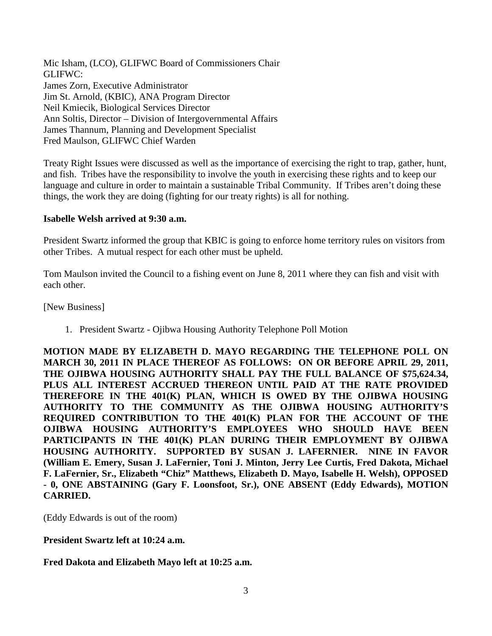Mic Isham, (LCO), GLIFWC Board of Commissioners Chair GLIFWC: James Zorn, Executive Administrator Jim St. Arnold, (KBIC), ANA Program Director Neil Kmiecik, Biological Services Director Ann Soltis, Director – Division of Intergovernmental Affairs James Thannum, Planning and Development Specialist Fred Maulson, GLIFWC Chief Warden

Treaty Right Issues were discussed as well as the importance of exercising the right to trap, gather, hunt, and fish. Tribes have the responsibility to involve the youth in exercising these rights and to keep our language and culture in order to maintain a sustainable Tribal Community. If Tribes aren't doing these things, the work they are doing (fighting for our treaty rights) is all for nothing.

#### **Isabelle Welsh arrived at 9:30 a.m.**

President Swartz informed the group that KBIC is going to enforce home territory rules on visitors from other Tribes. A mutual respect for each other must be upheld.

Tom Maulson invited the Council to a fishing event on June 8, 2011 where they can fish and visit with each other.

[New Business]

1. President Swartz - Ojibwa Housing Authority Telephone Poll Motion

**MOTION MADE BY ELIZABETH D. MAYO REGARDING THE TELEPHONE POLL ON MARCH 30, 2011 IN PLACE THEREOF AS FOLLOWS: ON OR BEFORE APRIL 29, 2011, THE OJIBWA HOUSING AUTHORITY SHALL PAY THE FULL BALANCE OF \$75,624.34, PLUS ALL INTEREST ACCRUED THEREON UNTIL PAID AT THE RATE PROVIDED THEREFORE IN THE 401(K) PLAN, WHICH IS OWED BY THE OJIBWA HOUSING AUTHORITY TO THE COMMUNITY AS THE OJIBWA HOUSING AUTHORITY'S REQUIRED CONTRIBUTION TO THE 401(K) PLAN FOR THE ACCOUNT OF THE OJIBWA HOUSING AUTHORITY'S EMPLOYEES WHO SHOULD HAVE BEEN PARTICIPANTS IN THE 401(K) PLAN DURING THEIR EMPLOYMENT BY OJIBWA HOUSING AUTHORITY. SUPPORTED BY SUSAN J. LAFERNIER. NINE IN FAVOR (William E. Emery, Susan J. LaFernier, Toni J. Minton, Jerry Lee Curtis, Fred Dakota, Michael F. LaFernier, Sr., Elizabeth "Chiz" Matthews, Elizabeth D. Mayo, Isabelle H. Welsh), OPPOSED - 0, ONE ABSTAINING (Gary F. Loonsfoot, Sr.), ONE ABSENT (Eddy Edwards), MOTION CARRIED.**

(Eddy Edwards is out of the room)

**President Swartz left at 10:24 a.m.** 

**Fred Dakota and Elizabeth Mayo left at 10:25 a.m.**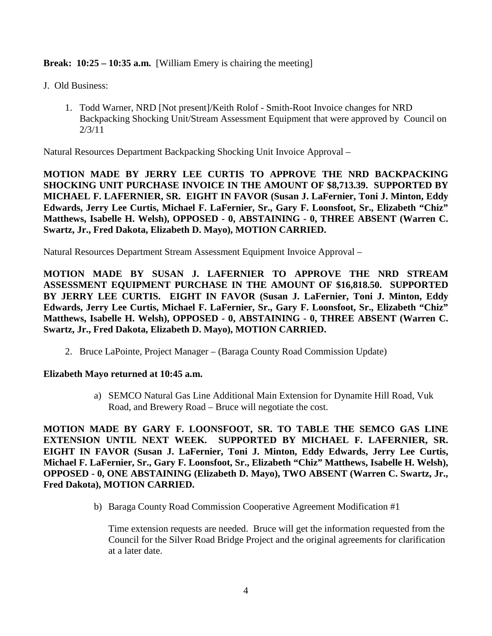**Break: 10:25 – 10:35 a.m.** [William Emery is chairing the meeting]

- J. Old Business:
	- 1. Todd Warner, NRD [Not present]/Keith Rolof Smith-Root Invoice changes for NRD Backpacking Shocking Unit/Stream Assessment Equipment that were approved by Council on 2/3/11

Natural Resources Department Backpacking Shocking Unit Invoice Approval –

**MOTION MADE BY JERRY LEE CURTIS TO APPROVE THE NRD BACKPACKING SHOCKING UNIT PURCHASE INVOICE IN THE AMOUNT OF \$8,713.39. SUPPORTED BY MICHAEL F. LAFERNIER, SR. EIGHT IN FAVOR (Susan J. LaFernier, Toni J. Minton, Eddy Edwards, Jerry Lee Curtis, Michael F. LaFernier, Sr., Gary F. Loonsfoot, Sr., Elizabeth "Chiz" Matthews, Isabelle H. Welsh), OPPOSED - 0, ABSTAINING - 0, THREE ABSENT (Warren C. Swartz, Jr., Fred Dakota, Elizabeth D. Mayo), MOTION CARRIED.**

Natural Resources Department Stream Assessment Equipment Invoice Approval –

**MOTION MADE BY SUSAN J. LAFERNIER TO APPROVE THE NRD STREAM ASSESSMENT EQUIPMENT PURCHASE IN THE AMOUNT OF \$16,818.50. SUPPORTED BY JERRY LEE CURTIS. EIGHT IN FAVOR (Susan J. LaFernier, Toni J. Minton, Eddy Edwards, Jerry Lee Curtis, Michael F. LaFernier, Sr., Gary F. Loonsfoot, Sr., Elizabeth "Chiz" Matthews, Isabelle H. Welsh), OPPOSED - 0, ABSTAINING - 0, THREE ABSENT (Warren C. Swartz, Jr., Fred Dakota, Elizabeth D. Mayo), MOTION CARRIED.**

2. Bruce LaPointe, Project Manager – (Baraga County Road Commission Update)

#### **Elizabeth Mayo returned at 10:45 a.m.**

a) SEMCO Natural Gas Line Additional Main Extension for Dynamite Hill Road, Vuk Road, and Brewery Road – Bruce will negotiate the cost.

**MOTION MADE BY GARY F. LOONSFOOT, SR. TO TABLE THE SEMCO GAS LINE EXTENSION UNTIL NEXT WEEK. SUPPORTED BY MICHAEL F. LAFERNIER, SR. EIGHT IN FAVOR (Susan J. LaFernier, Toni J. Minton, Eddy Edwards, Jerry Lee Curtis, Michael F. LaFernier, Sr., Gary F. Loonsfoot, Sr., Elizabeth "Chiz" Matthews, Isabelle H. Welsh), OPPOSED - 0, ONE ABSTAINING (Elizabeth D. Mayo), TWO ABSENT (Warren C. Swartz, Jr., Fred Dakota), MOTION CARRIED.**

b) Baraga County Road Commission Cooperative Agreement Modification #1

Time extension requests are needed. Bruce will get the information requested from the Council for the Silver Road Bridge Project and the original agreements for clarification at a later date.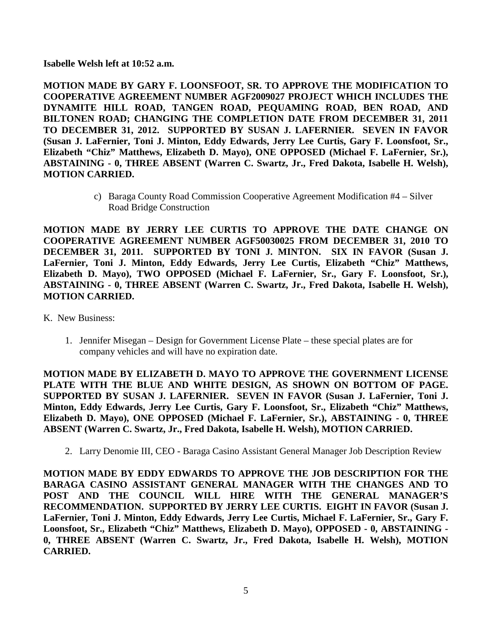**Isabelle Welsh left at 10:52 a.m.** 

**MOTION MADE BY GARY F. LOONSFOOT, SR. TO APPROVE THE MODIFICATION TO COOPERATIVE AGREEMENT NUMBER AGF2009027 PROJECT WHICH INCLUDES THE DYNAMITE HILL ROAD, TANGEN ROAD, PEQUAMING ROAD, BEN ROAD, AND BILTONEN ROAD; CHANGING THE COMPLETION DATE FROM DECEMBER 31, 2011 TO DECEMBER 31, 2012. SUPPORTED BY SUSAN J. LAFERNIER. SEVEN IN FAVOR (Susan J. LaFernier, Toni J. Minton, Eddy Edwards, Jerry Lee Curtis, Gary F. Loonsfoot, Sr., Elizabeth "Chiz" Matthews, Elizabeth D. Mayo), ONE OPPOSED (Michael F. LaFernier, Sr.), ABSTAINING - 0, THREE ABSENT (Warren C. Swartz, Jr., Fred Dakota, Isabelle H. Welsh), MOTION CARRIED.**

> c) Baraga County Road Commission Cooperative Agreement Modification #4 – Silver Road Bridge Construction

**MOTION MADE BY JERRY LEE CURTIS TO APPROVE THE DATE CHANGE ON COOPERATIVE AGREEMENT NUMBER AGF50030025 FROM DECEMBER 31, 2010 TO DECEMBER 31, 2011. SUPPORTED BY TONI J. MINTON. SIX IN FAVOR (Susan J. LaFernier, Toni J. Minton, Eddy Edwards, Jerry Lee Curtis, Elizabeth "Chiz" Matthews, Elizabeth D. Mayo), TWO OPPOSED (Michael F. LaFernier, Sr., Gary F. Loonsfoot, Sr.), ABSTAINING - 0, THREE ABSENT (Warren C. Swartz, Jr., Fred Dakota, Isabelle H. Welsh), MOTION CARRIED.**

- K. New Business:
	- 1. Jennifer Misegan Design for Government License Plate these special plates are for company vehicles and will have no expiration date.

**MOTION MADE BY ELIZABETH D. MAYO TO APPROVE THE GOVERNMENT LICENSE PLATE WITH THE BLUE AND WHITE DESIGN, AS SHOWN ON BOTTOM OF PAGE. SUPPORTED BY SUSAN J. LAFERNIER. SEVEN IN FAVOR (Susan J. LaFernier, Toni J. Minton, Eddy Edwards, Jerry Lee Curtis, Gary F. Loonsfoot, Sr., Elizabeth "Chiz" Matthews, Elizabeth D. Mayo), ONE OPPOSED (Michael F. LaFernier, Sr.), ABSTAINING - 0, THREE ABSENT (Warren C. Swartz, Jr., Fred Dakota, Isabelle H. Welsh), MOTION CARRIED.**

2. Larry Denomie III, CEO - Baraga Casino Assistant General Manager Job Description Review

**MOTION MADE BY EDDY EDWARDS TO APPROVE THE JOB DESCRIPTION FOR THE BARAGA CASINO ASSISTANT GENERAL MANAGER WITH THE CHANGES AND TO POST AND THE COUNCIL WILL HIRE WITH THE GENERAL MANAGER'S RECOMMENDATION. SUPPORTED BY JERRY LEE CURTIS. EIGHT IN FAVOR (Susan J. LaFernier, Toni J. Minton, Eddy Edwards, Jerry Lee Curtis, Michael F. LaFernier, Sr., Gary F. Loonsfoot, Sr., Elizabeth "Chiz" Matthews, Elizabeth D. Mayo), OPPOSED - 0, ABSTAINING - 0, THREE ABSENT (Warren C. Swartz, Jr., Fred Dakota, Isabelle H. Welsh), MOTION CARRIED.**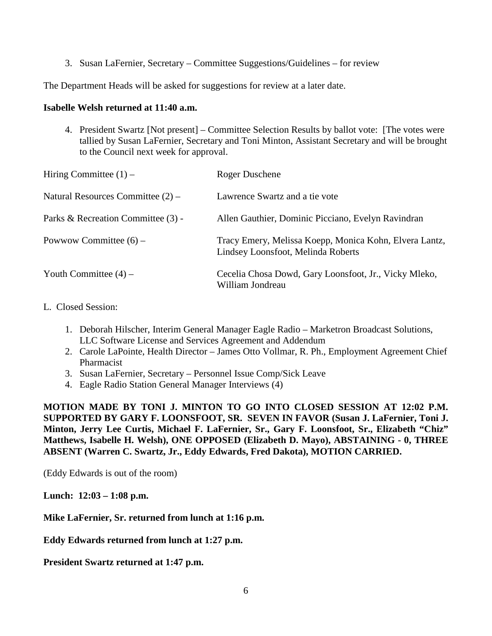3. Susan LaFernier, Secretary – Committee Suggestions/Guidelines – for review

The Department Heads will be asked for suggestions for review at a later date.

### **Isabelle Welsh returned at 11:40 a.m.**

4. President Swartz [Not present] – Committee Selection Results by ballot vote: [The votes were tallied by Susan LaFernier, Secretary and Toni Minton, Assistant Secretary and will be brought to the Council next week for approval.

| Hiring Committee $(1)$ –            | Roger Duschene                                                                               |
|-------------------------------------|----------------------------------------------------------------------------------------------|
| Natural Resources Committee $(2)$ – | Lawrence Swartz and a tie vote                                                               |
| Parks & Recreation Committee (3) -  | Allen Gauthier, Dominic Picciano, Evelyn Ravindran                                           |
| Powwow Committee $(6)$ –            | Tracy Emery, Melissa Koepp, Monica Kohn, Elvera Lantz,<br>Lindsey Loonsfoot, Melinda Roberts |
| Youth Committee $(4)$ –             | Cecelia Chosa Dowd, Gary Loonsfoot, Jr., Vicky Mleko,<br>William Jondreau                    |

## L. Closed Session:

- 1. Deborah Hilscher, Interim General Manager Eagle Radio Marketron Broadcast Solutions, LLC Software License and Services Agreement and Addendum
- 2. Carole LaPointe, Health Director James Otto Vollmar, R. Ph., Employment Agreement Chief Pharmacist
- 3. Susan LaFernier, Secretary Personnel Issue Comp/Sick Leave
- 4. Eagle Radio Station General Manager Interviews (4)

**MOTION MADE BY TONI J. MINTON TO GO INTO CLOSED SESSION AT 12:02 P.M. SUPPORTED BY GARY F. LOONSFOOT, SR. SEVEN IN FAVOR (Susan J. LaFernier, Toni J. Minton, Jerry Lee Curtis, Michael F. LaFernier, Sr., Gary F. Loonsfoot, Sr., Elizabeth "Chiz" Matthews, Isabelle H. Welsh), ONE OPPOSED (Elizabeth D. Mayo), ABSTAINING - 0, THREE ABSENT (Warren C. Swartz, Jr., Eddy Edwards, Fred Dakota), MOTION CARRIED.**

(Eddy Edwards is out of the room)

**Lunch: 12:03 – 1:08 p.m.**

**Mike LaFernier, Sr. returned from lunch at 1:16 p.m.**

**Eddy Edwards returned from lunch at 1:27 p.m.**

**President Swartz returned at 1:47 p.m.**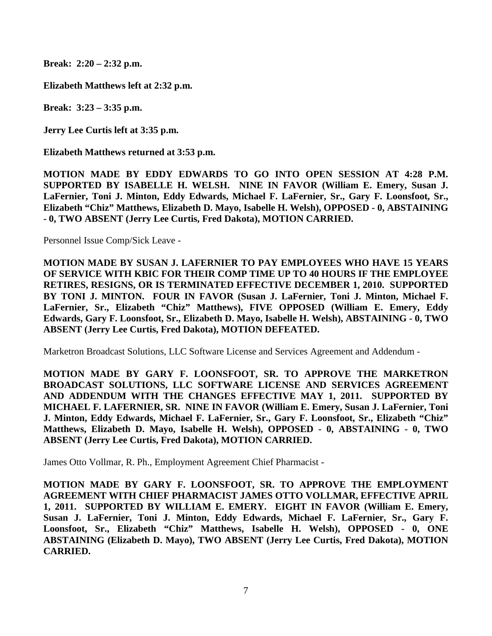**Break: 2:20 – 2:32 p.m.** 

**Elizabeth Matthews left at 2:32 p.m.**

**Break: 3:23 – 3:35 p.m.**

**Jerry Lee Curtis left at 3:35 p.m.**

**Elizabeth Matthews returned at 3:53 p.m.**

**MOTION MADE BY EDDY EDWARDS TO GO INTO OPEN SESSION AT 4:28 P.M. SUPPORTED BY ISABELLE H. WELSH. NINE IN FAVOR (William E. Emery, Susan J. LaFernier, Toni J. Minton, Eddy Edwards, Michael F. LaFernier, Sr., Gary F. Loonsfoot, Sr., Elizabeth "Chiz" Matthews, Elizabeth D. Mayo, Isabelle H. Welsh), OPPOSED - 0, ABSTAINING - 0, TWO ABSENT (Jerry Lee Curtis, Fred Dakota), MOTION CARRIED.**

Personnel Issue Comp/Sick Leave -

**MOTION MADE BY SUSAN J. LAFERNIER TO PAY EMPLOYEES WHO HAVE 15 YEARS OF SERVICE WITH KBIC FOR THEIR COMP TIME UP TO 40 HOURS IF THE EMPLOYEE RETIRES, RESIGNS, OR IS TERMINATED EFFECTIVE DECEMBER 1, 2010. SUPPORTED BY TONI J. MINTON. FOUR IN FAVOR (Susan J. LaFernier, Toni J. Minton, Michael F. LaFernier, Sr., Elizabeth "Chiz" Matthews), FIVE OPPOSED (William E. Emery, Eddy Edwards, Gary F. Loonsfoot, Sr., Elizabeth D. Mayo, Isabelle H. Welsh), ABSTAINING - 0, TWO ABSENT (Jerry Lee Curtis, Fred Dakota), MOTION DEFEATED.**

Marketron Broadcast Solutions, LLC Software License and Services Agreement and Addendum -

**MOTION MADE BY GARY F. LOONSFOOT, SR. TO APPROVE THE MARKETRON BROADCAST SOLUTIONS, LLC SOFTWARE LICENSE AND SERVICES AGREEMENT AND ADDENDUM WITH THE CHANGES EFFECTIVE MAY 1, 2011. SUPPORTED BY MICHAEL F. LAFERNIER, SR. NINE IN FAVOR (William E. Emery, Susan J. LaFernier, Toni J. Minton, Eddy Edwards, Michael F. LaFernier, Sr., Gary F. Loonsfoot, Sr., Elizabeth "Chiz" Matthews, Elizabeth D. Mayo, Isabelle H. Welsh), OPPOSED - 0, ABSTAINING - 0, TWO ABSENT (Jerry Lee Curtis, Fred Dakota), MOTION CARRIED.**

James Otto Vollmar, R. Ph., Employment Agreement Chief Pharmacist -

**MOTION MADE BY GARY F. LOONSFOOT, SR. TO APPROVE THE EMPLOYMENT AGREEMENT WITH CHIEF PHARMACIST JAMES OTTO VOLLMAR, EFFECTIVE APRIL 1, 2011. SUPPORTED BY WILLIAM E. EMERY. EIGHT IN FAVOR (William E. Emery, Susan J. LaFernier, Toni J. Minton, Eddy Edwards, Michael F. LaFernier, Sr., Gary F. Loonsfoot, Sr., Elizabeth "Chiz" Matthews, Isabelle H. Welsh), OPPOSED - 0, ONE ABSTAINING (Elizabeth D. Mayo), TWO ABSENT (Jerry Lee Curtis, Fred Dakota), MOTION CARRIED.**